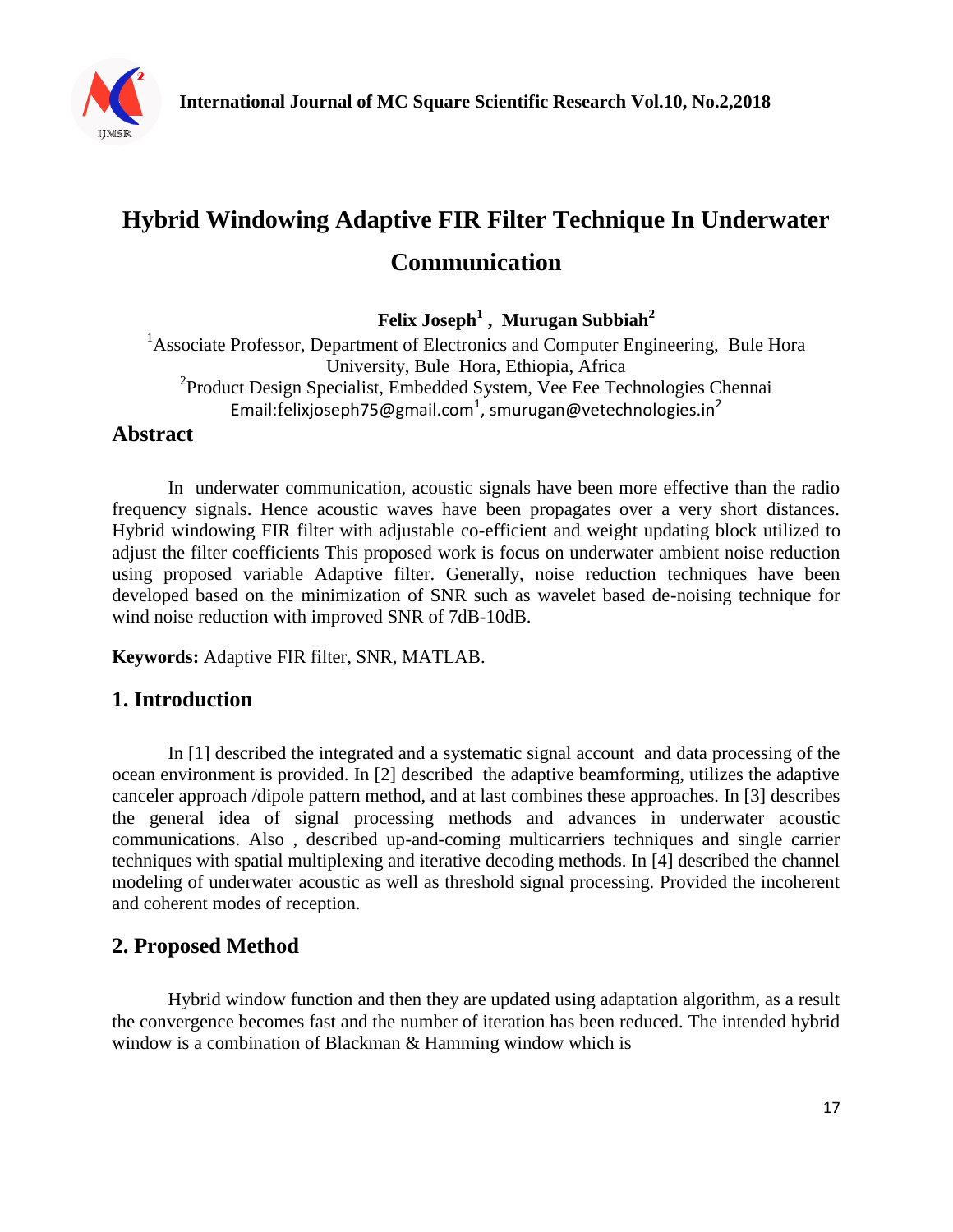

# **Hybrid Windowing Adaptive FIR Filter Technique In Underwater Communication**

**Felix Joseph<sup>1</sup> , Murugan Subbiah<sup>2</sup>**

<sup>1</sup>Associate Professor, Department of Electronics and Computer Engineering, Bule Hora University, Bule Hora, Ethiopia, Africa <sup>2</sup> Product Design Specialist, Embedded System, Vee Eee Technologies Chennai Email:f[elixjoseph75@gmail.com](mailto:felixjoseph75@gmail.com)<sup>1</sup>, smurugan@vetechnologies.in<sup>2</sup>

## **Abstract**

In underwater communication, acoustic signals have been more effective than the radio frequency signals. Hence acoustic waves have been propagates over a very short distances. Hybrid windowing FIR filter with adjustable co-efficient and weight updating block utilized to adjust the filter coefficients This proposed work is focus on underwater ambient noise reduction using proposed variable Adaptive filter. Generally, noise reduction techniques have been developed based on the minimization of SNR such as wavelet based de-noising technique for wind noise reduction with improved SNR of 7dB-10dB.

**Keywords:** Adaptive FIR filter, SNR, MATLAB.

# **1. Introduction**

In [1] described the integrated and a systematic signal account and data processing of the ocean environment is provided. In [2] described the adaptive beamforming, utilizes the adaptive canceler approach /dipole pattern method, and at last combines these approaches. In [3] describes the general idea of signal processing methods and advances in underwater acoustic communications. Also , described up-and-coming multicarriers techniques and single carrier techniques with spatial multiplexing and iterative decoding methods. In [4] described the channel modeling of underwater acoustic as well as threshold signal processing. Provided the incoherent and coherent modes of reception.

## **2. Proposed Method**

Hybrid window function and then they are updated using adaptation algorithm, as a result the convergence becomes fast and the number of iteration has been reduced. The intended hybrid window is a combination of Blackman & Hamming window which is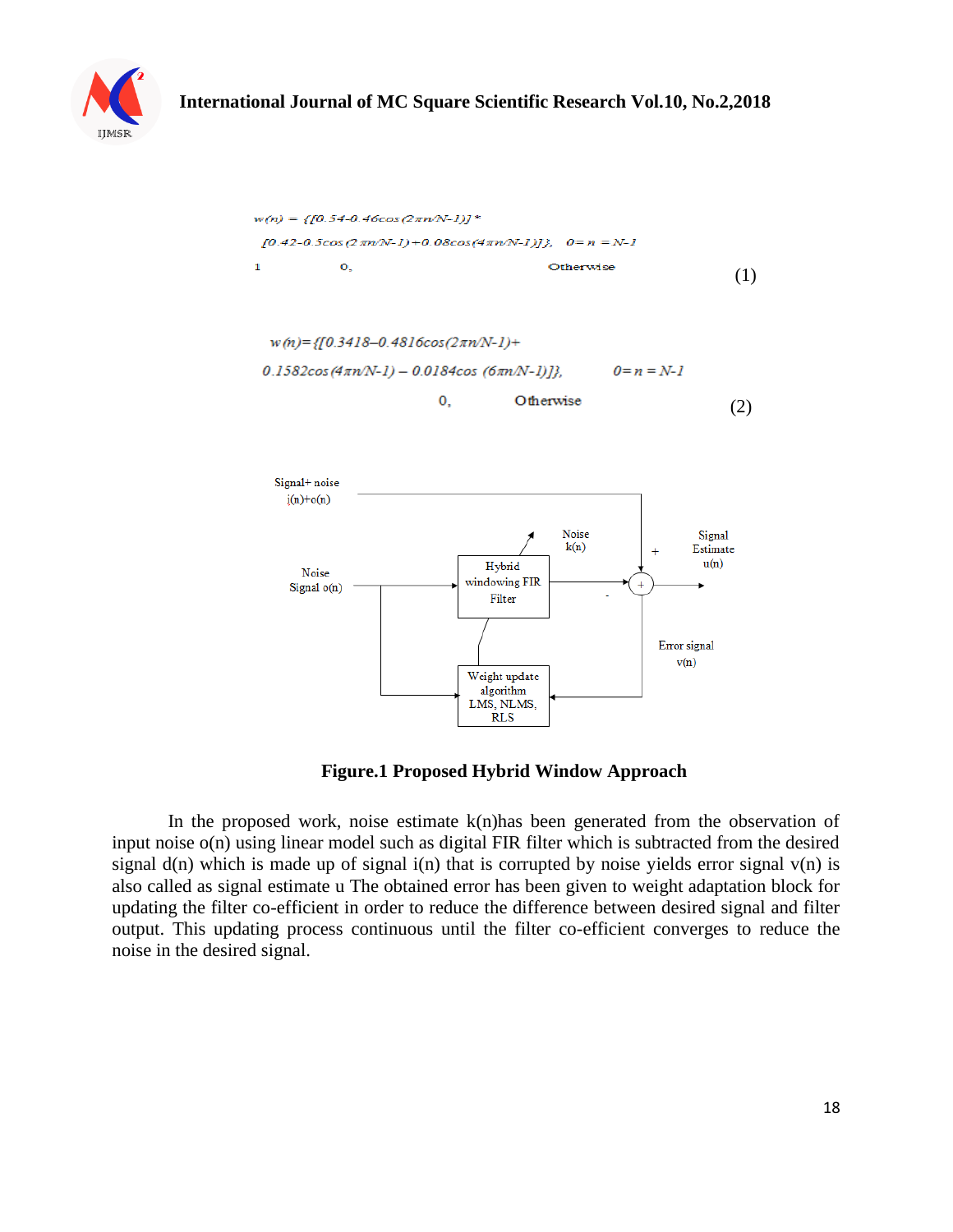





**Figure.1 Proposed Hybrid Window Approach**

In the proposed work, noise estimate  $k(n)$  has been generated from the observation of input noise o(n) using linear model such as digital FIR filter which is subtracted from the desired signal  $d(n)$  which is made up of signal  $i(n)$  that is corrupted by noise yields error signal  $v(n)$  is also called as signal estimate u The obtained error has been given to weight adaptation block for updating the filter co-efficient in order to reduce the difference between desired signal and filter output. This updating process continuous until the filter co-efficient converges to reduce the noise in the desired signal.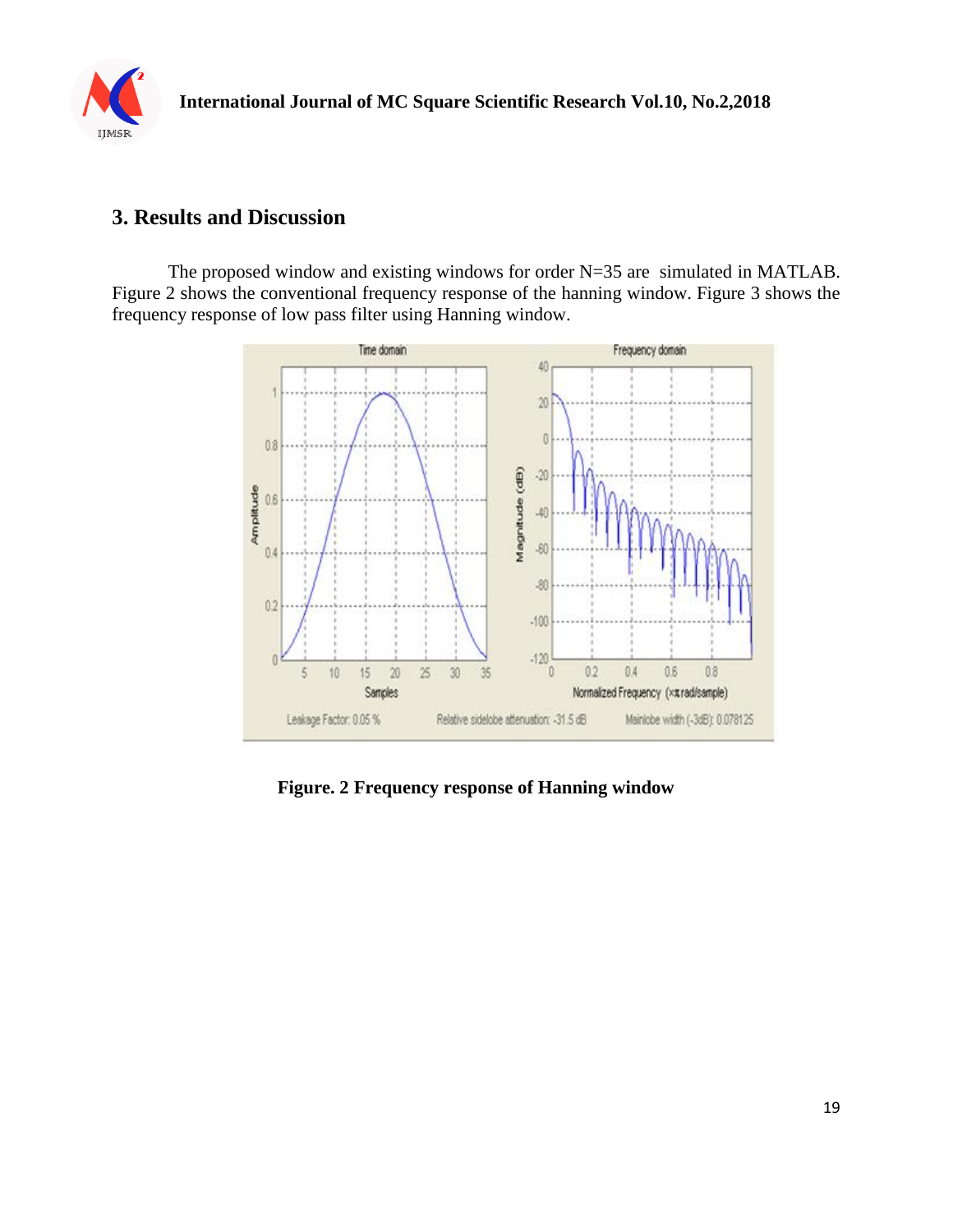

## **3. Results and Discussion**

The proposed window and existing windows for order N=35 are simulated in MATLAB. Figure 2 shows the conventional frequency response of the hanning window. Figure 3 shows the frequency response of low pass filter using Hanning window.



**Figure. 2 Frequency response of Hanning window**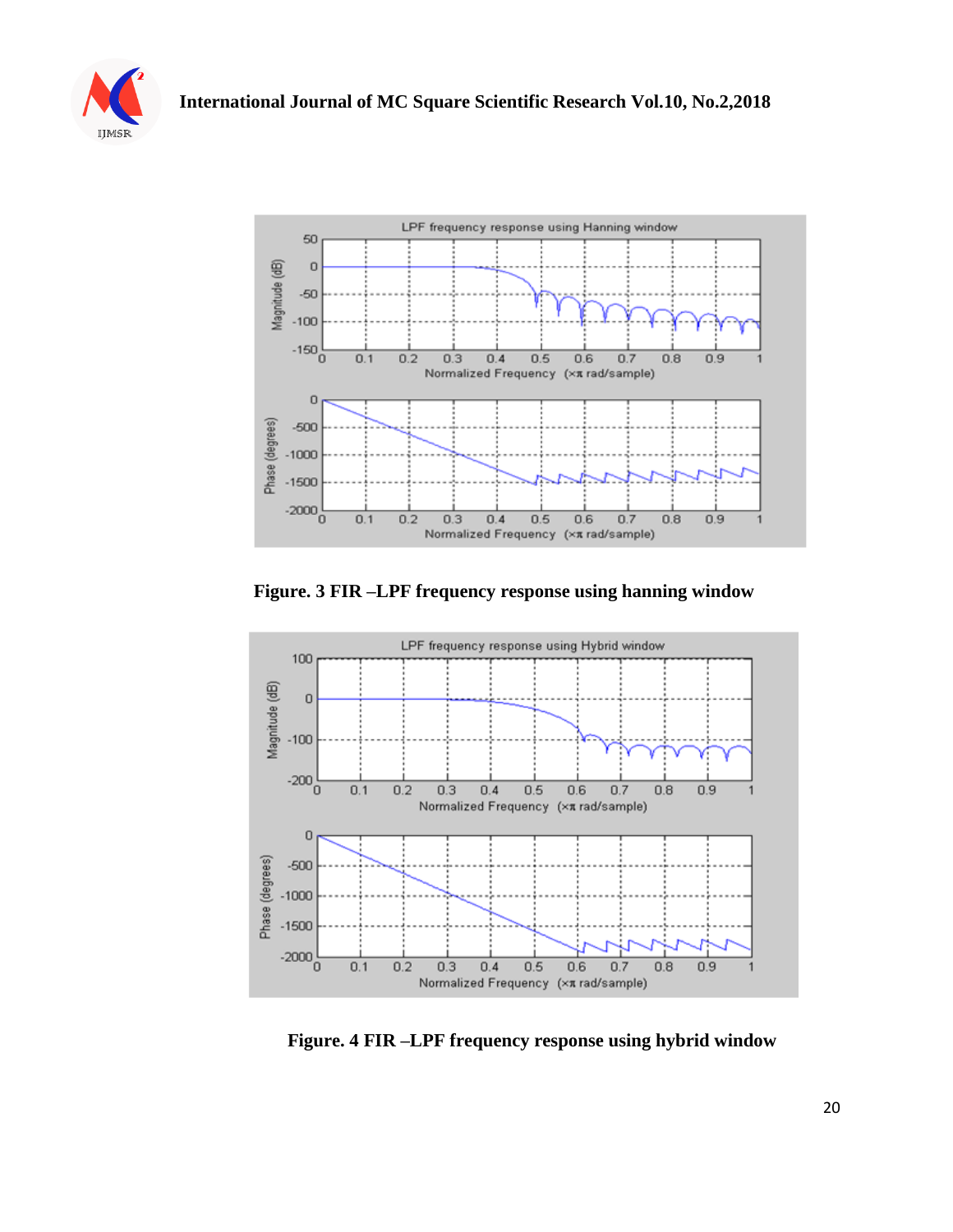



**Figure. 3 FIR –LPF frequency response using hanning window** 



**Figure. 4 FIR –LPF frequency response using hybrid window**